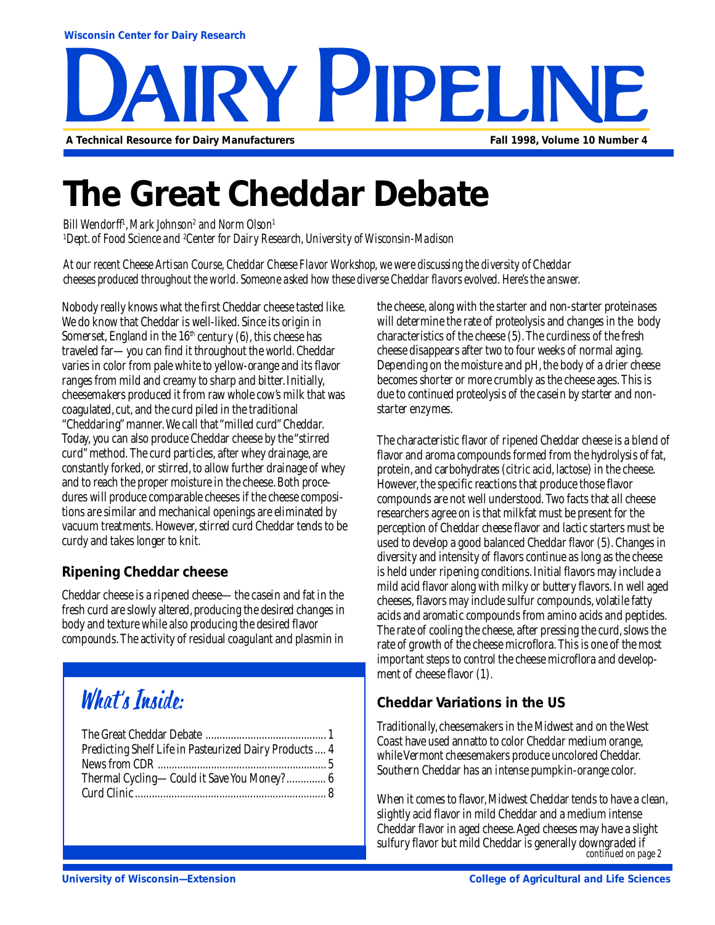**PY PIPELIN A Technical Resource for Dairy Manufacturers Fall 1998, Volume 10 Number 4**

# **The Great Cheddar Debate**

*Bill Wendorff1 , Mark Johnson2 and Norm Olson1 1 Dept. of Food Science and 2 Center for Dairy Research, University of Wisconsin-Madison*

*At our recent Cheese Artisan Course, Cheddar Cheese Flavor Workshop, we were discussing the diversity of Cheddar cheeses produced throughout the world. Someone asked how these diverse Cheddar flavors evolved. Here's the answer.*

Nobody really knows what the first Cheddar cheese tasted like. We do know that Cheddar is well-liked. Since its origin in Somerset, England in the  $16<sup>th</sup>$  century (6), this cheese has traveled far—you can find it throughout the world. Cheddar varies in color from pale white to yellow-orange and its flavor ranges from mild and creamy to sharp and bitter. Initially, cheesemakers produced it from raw whole cow's milk that was coagulated, cut, and the curd piled in the traditional "Cheddaring" manner. We call that "milled curd" Cheddar. Today, you can also produce Cheddar cheese by the "stirred curd" method. The curd particles, after whey drainage, are constantly forked, or stirred, to allow further drainage of whey and to reach the proper moisture in the cheese. Both procedures will produce comparable cheeses if the cheese compositions are similar and mechanical openings are eliminated by vacuum treatments. However, stirred curd Cheddar tends to be curdy and takes longer to knit.

### **Ripening Cheddar cheese**

Cheddar cheese is a ripened cheese—the casein and fat in the fresh curd are slowly altered, producing the desired changes in body and texture while also producing the desired flavor compounds. The activity of residual coagulant and plasmin in

### What's Inside:

| Predicting Shelf Life in Pasteurized Dairy Products 4 |
|-------------------------------------------------------|
|                                                       |
| Thermal Cycling—Could it Save You Money?  6           |
|                                                       |
|                                                       |

the cheese, along with the starter and non-starter proteinases will determine the rate of proteolysis and changes in the body characteristics of the cheese (5). The curdiness of the fresh cheese disappears after two to four weeks of normal aging. Depending on the moisture and pH, the body of a drier cheese becomes shorter or more crumbly as the cheese ages. This is due to continued proteolysis of the casein by starter and nonstarter enzymes.

The characteristic flavor of ripened Cheddar cheese is a blend of flavor and aroma compounds formed from the hydrolysis of fat, protein, and carbohydrates (citric acid, lactose) in the cheese. However, the specific reactions that produce those flavor compounds are not well understood. Two facts that all cheese researchers agree on is that milkfat must be present for the perception of Cheddar cheese flavor and lactic starters must be used to develop a good balanced Cheddar flavor (5). Changes in diversity and intensity of flavors continue as long as the cheese is held under ripening conditions. Initial flavors may include a mild acid flavor along with milky or buttery flavors. In well aged cheeses, flavors may include sulfur compounds, volatile fatty acids and aromatic compounds from amino acids and peptides. The rate of cooling the cheese, after pressing the curd, slows the rate of growth of the cheese microflora. This is one of the most important steps to control the cheese microflora and development of cheese flavor (1).

### **Cheddar Variations in the US**

Traditionally, cheesemakers in the Midwest and on the West Coast have used annatto to color Cheddar medium orange, while Vermont cheesemakers produce uncolored Cheddar. Southern Cheddar has an intense pumpkin-orange color.

When it comes to flavor. Midwest Cheddar tends to have a clean, slightly acid flavor in mild Cheddar and a medium intense Cheddar flavor in aged cheese. Aged cheeses may have a slight sulfury flavor but mild Cheddar is generally downgraded if *continued on page 2*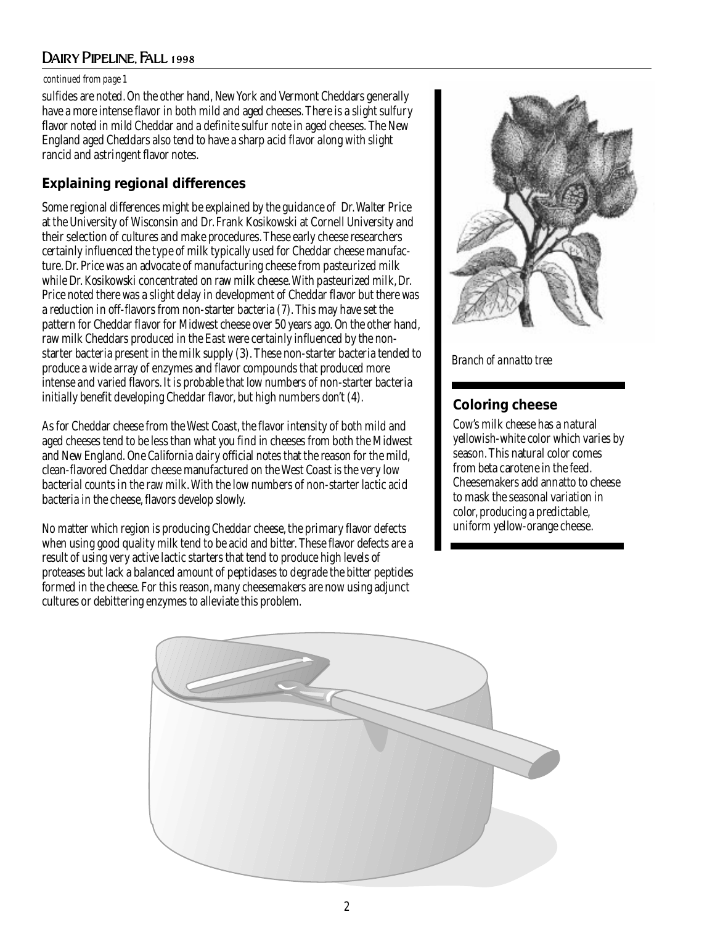### Dairy Pipeline, Fall 1998

#### *continued from page 1*

sulfides are noted. On the other hand, New York and Vermont Cheddars generally have a more intense flavor in both mild and aged cheeses. There is a slight sulfury flavor noted in mild Cheddar and a definite sulfur note in aged cheeses. The New England aged Cheddars also tend to have a sharp acid flavor along with slight rancid and astringent flavor notes.

### **Explaining regional differences**

Some regional differences might be explained by the guidance of Dr. Walter Price at the University of Wisconsin and Dr. Frank Kosikowski at Cornell University and their selection of cultures and make procedures. These early cheese researchers certainly influenced the type of milk typically used for Cheddar cheese manufacture. Dr. Price was an advocate of manufacturing cheese from pasteurized milk while Dr. Kosikowski concentrated on raw milk cheese. With pasteurized milk, Dr. Price noted there was a slight delay in development of Cheddar flavor but there was a reduction in off-flavors from non-starter bacteria (7). This may have set the pattern for Cheddar flavor for Midwest cheese over 50 years ago. On the other hand, raw milk Cheddars produced in the East were certainly influenced by the nonstarter bacteria present in the milk supply (3). These non-starter bacteria tended to produce a wide array of enzymes and flavor compounds that produced more intense and varied flavors. It is probable that low numbers of non-starter bacteria initially benefit developing Cheddar flavor, but high numbers don't (4).

As for Cheddar cheese from the West Coast, the flavor intensity of both mild and aged cheeses tend to be less than what you find in cheeses from both the Midwest and New England. One California dairy official notes that the reason for the mild, clean-flavored Cheddar cheese manufactured on the West Coast is the very low bacterial counts in the raw milk. With the low numbers of non-starter lactic acid bacteria in the cheese, flavors develop slowly.

No matter which region is producing Cheddar cheese, the primary flavor defects when using good quality milk tend to be acid and bitter. These flavor defects are a result of using very active lactic starters that tend to produce high levels of proteases but lack a balanced amount of peptidases to degrade the bitter peptides formed in the cheese. For this reason, many cheesemakers are now using adjunct cultures or debittering enzymes to alleviate this problem.



### *Branch of annatto tree*

### **Coloring cheese**

Cow's milk cheese has a natural yellowish-white color which varies by season. This natural color comes from beta carotene in the feed. Cheesemakers add annatto to cheese to mask the seasonal variation in color, producing a predictable, uniform yellow-orange cheese.

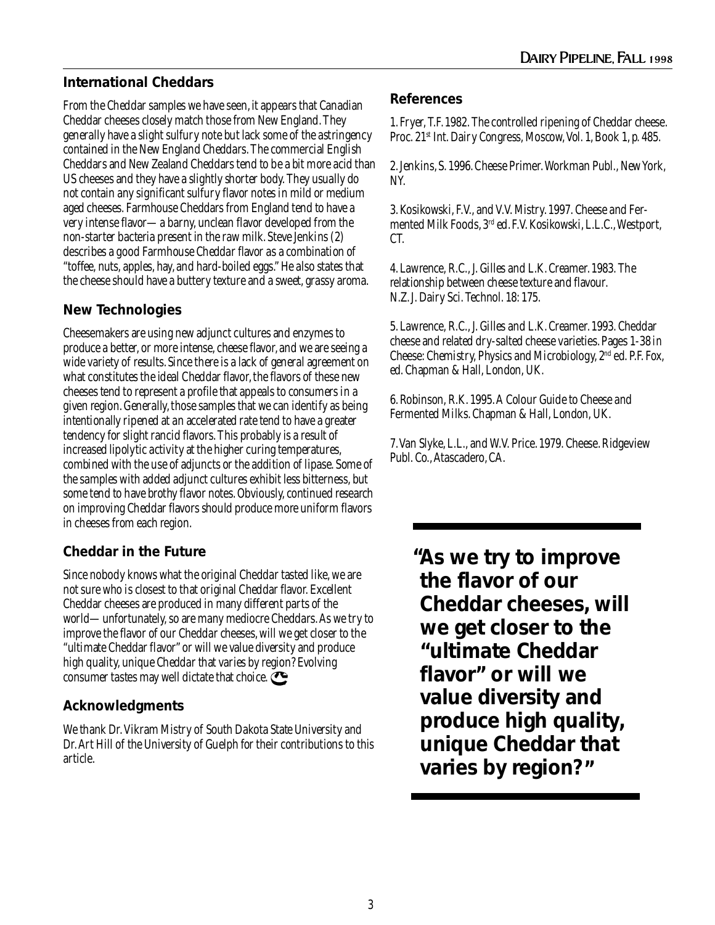### **International Cheddars**

From the Cheddar samples we have seen, it appears that Canadian Cheddar cheeses closely match those from New England. They generally have a slight sulfury note but lack some of the astringency contained in the New England Cheddars. The commercial English Cheddars and New Zealand Cheddars tend to be a bit more acid than US cheeses and they have a slightly shorter body. They usually do not contain any significant sulfury flavor notes in mild or medium aged cheeses. Farmhouse Cheddars from England tend to have a very intense flavor—a barny, unclean flavor developed from the non-starter bacteria present in the raw milk. Steve Jenkins (2) describes a good Farmhouse Cheddar flavor as a combination of "toffee, nuts, apples, hay, and hard-boiled eggs." He also states that the cheese should have a buttery texture and a sweet, grassy aroma.

### **New Technologies**

Cheesemakers are using new adjunct cultures and enzymes to produce a better, or more intense, cheese flavor, and we are seeing a wide variety of results. Since there is a lack of general agreement on what constitutes the ideal Cheddar flavor, the flavors of these new cheeses tend to represent a profile that appeals to consumers in a given region. Generally, those samples that we can identify as being intentionally ripened at an accelerated rate tend to have a greater tendency for slight rancid flavors. This probably is a result of increased lipolytic activity at the higher curing temperatures, combined with the use of adjuncts or the addition of lipase. Some of the samples with added adjunct cultures exhibit less bitterness, but some tend to have brothy flavor notes. Obviously, continued research on improving Cheddar flavors should produce more uniform flavors in cheeses from each region.

### **Cheddar in the Future**

Since nobody knows what the original Cheddar tasted like, we are not sure who is closest to that original Cheddar flavor. Excellent Cheddar cheeses are produced in many different parts of the world—unfortunately, so are many mediocre Cheddars. As we try to improve the flavor of our Cheddar cheeses, will we get closer to the "ultimate Cheddar flavor" or will we value diversity and produce high quality, unique Cheddar that varies by region? Evolving consumer tastes may well dictate that choice.

### **Acknowledgments**

We thank Dr. Vikram Mistry of South Dakota State University and Dr. Art Hill of the University of Guelph for their contributions to this article.

### **References**

1. Fryer, T.F. 1982. The controlled ripening of Cheddar cheese. Proc. 21<sup>st</sup> Int. Dairy Congress, Moscow, Vol. 1, Book 1, p. 485.

2. Jenkins, S. 1996. Cheese Primer. Workman Publ., New York, NY.

3. Kosikowski, F.V., and V.V. Mistry. 1997. Cheese and Fermented Milk Foods, 3rd ed. F.V. Kosikowski, L.L.C., Westport, CT.

4. Lawrence, R.C., J. Gilles and L.K. Creamer. 1983. The relationship between cheese texture and flavour. N.Z. J. Dairy Sci. Technol. 18: 175.

5. Lawrence, R.C., J. Gilles and L.K. Creamer. 1993. Cheddar cheese and related dry-salted cheese varieties. Pages 1-38 *in* Cheese: Chemistry, Physics and Microbiology, 2nd ed. P.F. Fox, ed. Chapman & Hall, London, UK.

6. Robinson, R.K. 1995. A Colour Guide to Cheese and Fermented Milks. Chapman & Hall, London, UK.

7. Van Slyke, L.L., and W.V. Price. 1979. Cheese. Ridgeview Publ. Co., Atascadero, CA.

**As we try to improve " the flavor of our Cheddar cheeses, will we get closer to the "ultimate Cheddar flavor" or will we value diversity and produce high quality, unique Cheddar that varies by region? "**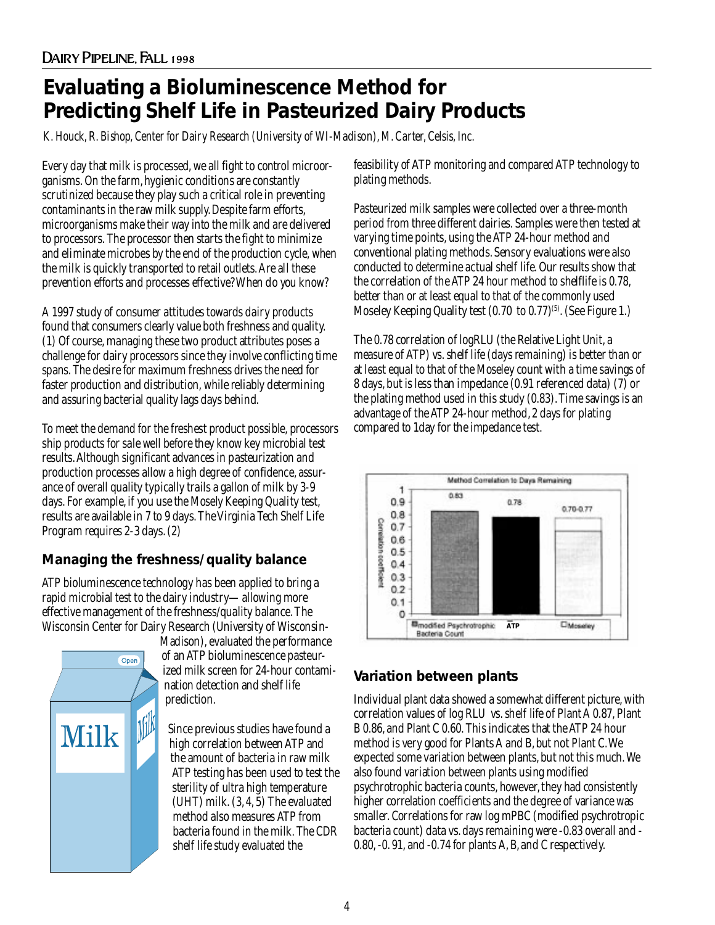### **Evaluating a Bioluminescence Method for Predicting Shelf Life in Pasteurized Dairy Products**

*K. Houck, R. Bishop, Center for Dairy Research (University of WI-Madison), M. Carter, Celsis, Inc.*

Every day that milk is processed, we all fight to control microorganisms. On the farm, hygienic conditions are constantly scrutinized because they play such a critical role in preventing contaminants in the raw milk supply. Despite farm efforts, microorganisms make their way into the milk and are delivered to processors. The processor then starts the fight to minimize and eliminate microbes by the end of the production cycle, when the milk is quickly transported to retail outlets. Are all these prevention efforts and processes effective? When do you know?

A 1997 study of consumer attitudes towards dairy products found that consumers clearly value both freshness and quality. (1) Of course, managing these two product attributes poses a challenge for dairy processors since they involve conflicting time spans. The desire for maximum freshness drives the need for faster production and distribution, while reliably determining and assuring bacterial quality lags days behind.

To meet the demand for the freshest product possible, processors ship products for sale well before they know key microbial test results. Although significant advances in pasteurization and production processes allow a high degree of confidence, assurance of overall quality typically trails a gallon of milk by 3-9 days. For example, if you use the Mosely Keeping Quality test, results are available in 7 to 9 days. The Virginia Tech Shelf Life Program requires 2-3 days. (2)

### **Managing the freshness/quality balance**

ATP bioluminescence technology has been applied to bring a rapid microbial test to the dairy industry—allowing more effective management of the freshness/quality balance. The Wisconsin Center for Dairy Research (University of Wisconsin-



Madison), evaluated the performance of an ATP bioluminescence pasteurized milk screen for 24-hour contamination detection and shelf life prediction.

Since previous studies have found a high correlation between ATP and the amount of bacteria in raw milk ATP testing has been used to test the sterility of ultra high temperature (UHT) milk. (3, 4, 5) The evaluated method also measures ATP from bacteria found in the milk. The CDR shelf life study evaluated the

feasibility of ATP monitoring and compared ATP technology to plating methods.

Pasteurized milk samples were collected over a three-month period from three different dairies. Samples were then tested at varying time points, using the ATP 24-hour method and conventional plating methods. Sensory evaluations were also conducted to determine actual shelf life. Our results show that the correlation of the ATP 24 hour method to shelflife is 0.78, better than or at least equal to that of the commonly used Moseley Keeping Quality test  $(0.70 \text{ to } 0.77)^{(5)}$ . (See Figure 1.)

The 0.78 correlation of logRLU (the Relative Light Unit, a measure of ATP) vs. shelf life (days remaining) is better than or at least equal to that of the Moseley count with a time savings of 8 days, but is less than impedance (0.91 referenced data) (7) or the plating method used in this study (0.83). Time savings is an advantage of the ATP 24-hour method, 2 days for plating compared to 1day for the impedance test.



### **Variation between plants**

Individual plant data showed a somewhat different picture, with correlation values of log RLU vs. shelf life of Plant A 0.87, Plant B 0.86, and Plant C 0.60. This indicates that the ATP 24 hour method is very good for Plants A and B, but not Plant C. We expected some variation between plants, but not this much. We also found variation between plants using modified psychrotrophic bacteria counts, however, they had consistently higher correlation coefficients and the degree of variance was smaller. Correlations for raw log mPBC (modified psychrotropic bacteria count) data vs. days remaining were -0.83 overall and - 0.80, -0. 91, and -0.74 for plants A, B, and C respectively.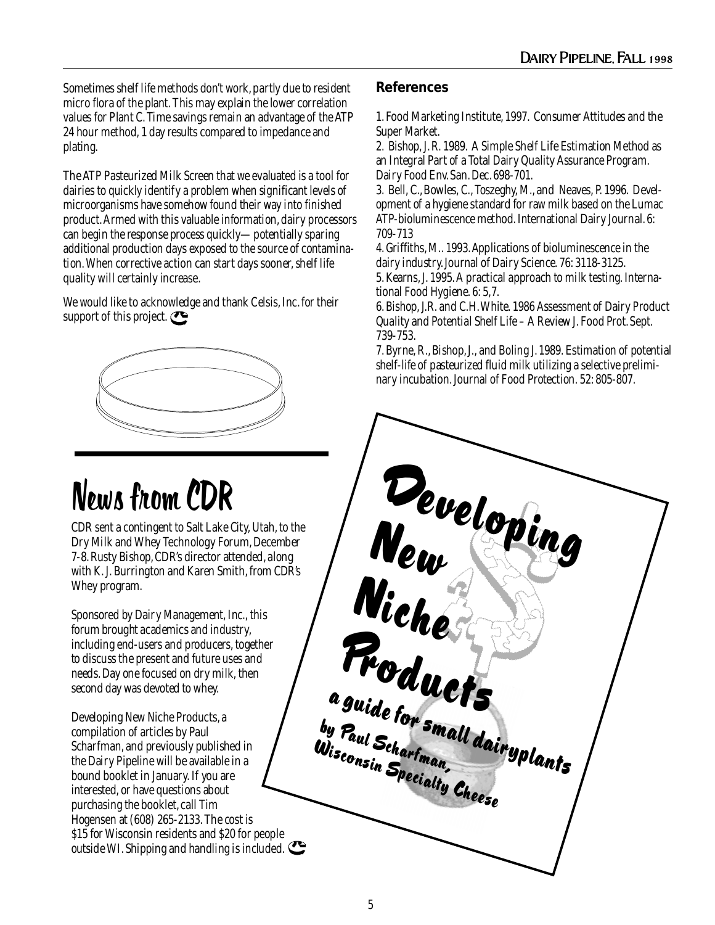Sometimes shelf life methods don't work, partly due to resident micro flora of the plant. This may explain the lower correlation values for Plant C. Time savings remain an advantage of the ATP 24 hour method, 1 day results compared to impedance and plating.

The ATP Pasteurized Milk Screen that we evaluated is a tool for dairies to quickly identify a problem when significant levels of microorganisms have somehow found their way into finished product. Armed with this valuable information, dairy processors can begin the response process quickly—potentially sparing additional production days exposed to the source of contamination. When corrective action can start days sooner, shelf life quality will certainly increase.

We would like to acknowledge and thank Celsis, Inc. for their support of this project.



# News from CDR

CDR sent a contingent to Salt Lake City, Utah, to the Dry Milk and Whey Technology Forum, December 7-8. Rusty Bishop, CDR's director attended, along with K. J. Burrington and Karen Smith, from CDR's Whey program.

Sponsored by Dairy Management, Inc., this forum brought academics and industry, including end-users and producers, together to discuss the present and future uses and needs. Day one focused on dry milk, then second day was devoted to whey.

Developing New Niche Products, a compilation of articles by Paul Scharfman, and previously published in the Dairy Pipeline will be available in a bound booklet in January. If you are interested, or have questions about purchasing the booklet, call Tim Hogensen at (608) 265-2133. The cost is \$15 for Wisconsin residents and \$20 for people outside WI. Shipping and handling is included.

### **References**

1. Food Marketing Institute, 1997. Consumer Attitudes and the Super Market.

2. Bishop, J. R. 1989. A Simple Shelf Life Estimation Method as an Integral Part of a Total Dairy Quality Assurance Program. Dairy Food Env. San. Dec. 698-701.

3. Bell, C., Bowles, C., Toszeghy, M., and Neaves, P. 1996. Development of a hygiene standard for raw milk based on the Lumac ATP-bioluminescence method. International Dairy Journal. 6: 709-713

4. Griffiths, M.. 1993. Applications of bioluminescence in the dairy industry. Journal of Dairy Science. 76: 3118-3125.

5. Kearns, J. 1995. A practical approach to milk testing. International Food Hygiene. 6: 5,7.

6. Bishop, J.R. and C.H. White. 1986 Assessment of Dairy Product Quality and Potential Shelf Life – A Review J. Food Prot. Sept. 739-753.

7. Byrne, R., Bishop, J., and Boling J. 1989. Estimation of potential shelf-life of pasteurized fluid milk utilizing a selective preliminary incubation. Journal of Food Protection. 52: 805-807.

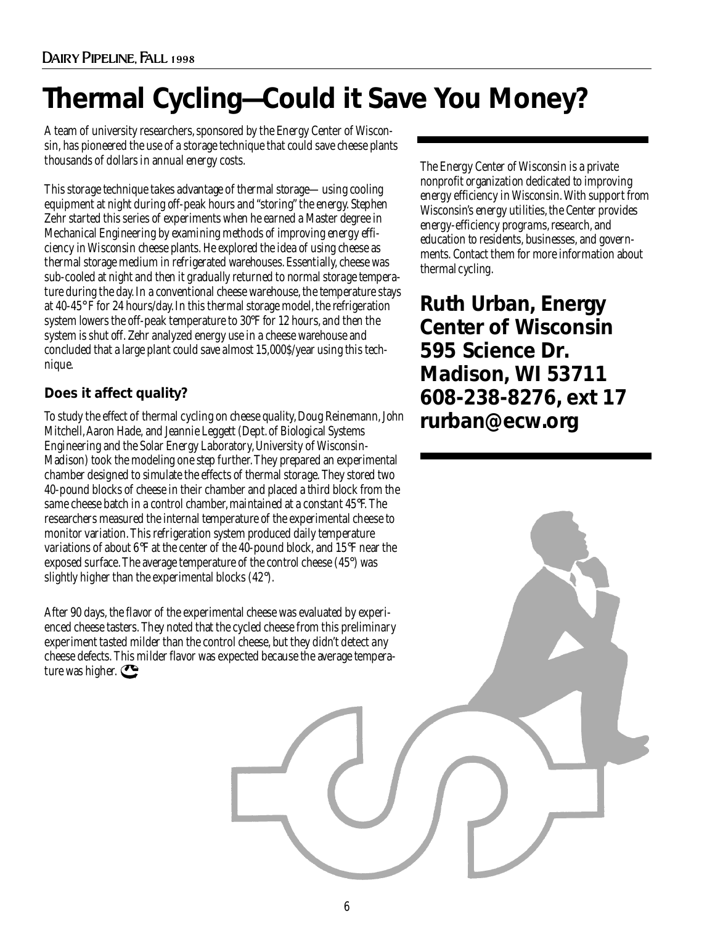## **Thermal Cycling—Could it Save You Money?**

A team of university researchers, sponsored by the Energy Center of Wisconsin, has pioneered the use of a storage technique that could save cheese plants thousands of dollars in annual energy costs.

This storage technique takes advantage of thermal storage—using cooling equipment at night during off-peak hours and "storing" the energy. Stephen Zehr started this series of experiments when he earned a Master degree in Mechanical Engineering by examining methods of improving energy efficiency in Wisconsin cheese plants. He explored the idea of using cheese as thermal storage medium in refrigerated warehouses. Essentially, cheese was sub-cooled at night and then it gradually returned to normal storage temperature during the day. In a conventional cheese warehouse, the temperature stays at 40-45° F for 24 hours/day. In this thermal storage model, the refrigeration system lowers the off-peak temperature to 30°F for 12 hours, and then the system is shut off. Zehr analyzed energy use in a cheese warehouse and concluded that a large plant could save almost 15,000\$/year using this technique.

### **Does it affect quality?**

To study the effect of thermal cycling on cheese quality, Doug Reinemann, John Mitchell, Aaron Hade, and Jeannie Leggett (Dept. of Biological Systems Engineering and the Solar Energy Laboratory, University of Wisconsin-Madison) took the modeling one step further. They prepared an experimental chamber designed to simulate the effects of thermal storage. They stored two 40-pound blocks of cheese in their chamber and placed a third block from the same cheese batch in a control chamber, maintained at a constant 45°F. The researchers measured the internal temperature of the experimental cheese to monitor variation. This refrigeration system produced daily temperature variations of about 6°F at the center of the 40-pound block, and 15°F near the exposed surface. The average temperature of the control cheese (45°) was slightly higher than the experimental blocks (42°).

After 90 days, the flavor of the experimental cheese was evaluated by experienced cheese tasters. They noted that the cycled cheese from this preliminary experiment tasted milder than the control cheese, but they didn't detect any cheese defects. This milder flavor was expected because the average temperature was higher.

The Energy Center of Wisconsin is a private nonprofit organization dedicated to improving energy efficiency in Wisconsin. With support from Wisconsin's energy utilities, the Center provides energy-efficiency programs, research, and education to residents, businesses, and governments. Contact them for more information about thermal cycling.

**Ruth Urban, Energy Center of Wisconsin 595 Science Dr. Madison, WI 53711 608-238-8276, ext 17 rurban@ecw.org**

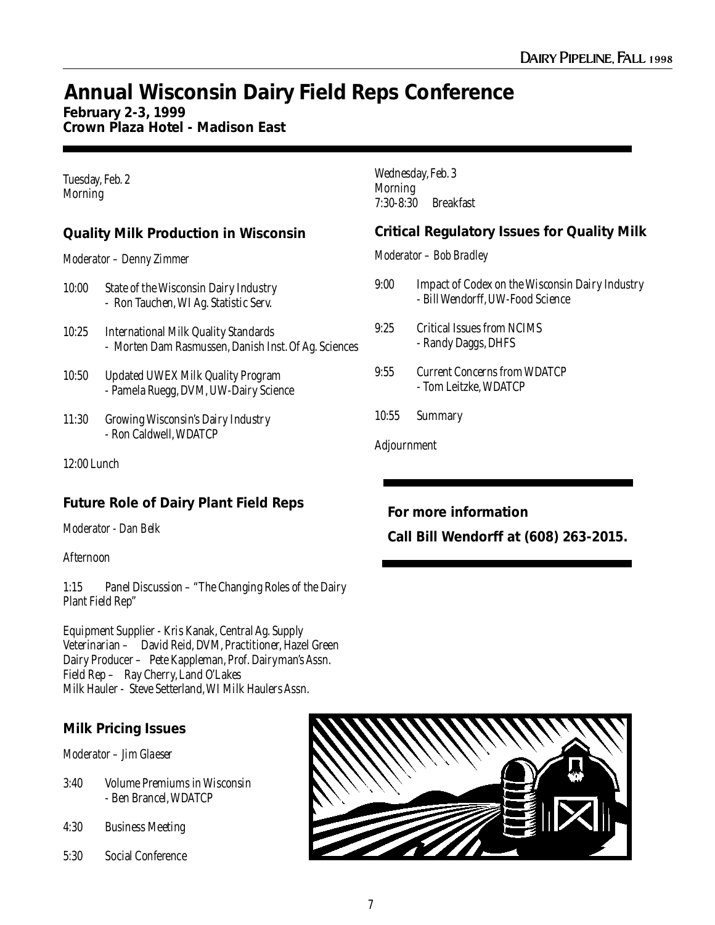### **Annual Wisconsin Dairy Field Reps Conference**

### **February 2-3, 1999**

**Crown Plaza Hotel - Madison East**

#### Tuesday, Feb. 2 Morning

### **Quality Milk Production in Wisconsin**

#### *Moderator – Denny Zimmer*

- 10:00 State of the Wisconsin Dairy Industry - Ron Tauchen, WI Ag. Statistic Serv.
- 10:25 International Milk Quality Standards - Morten Dam Rasmussen, Danish Inst. Of Ag. Sciences
- 10:50 Updated UWEX Milk Quality Program - Pamela Ruegg, DVM, UW-Dairy Science
- 11:30 Growing Wisconsin's Dairy Industry - Ron Caldwell, WDATCP

12:00 Lunch

### **Future Role of Dairy Plant Field Reps**

*Moderator - Dan Belk*

#### Afternoon

1:15 Panel Discussion – "The Changing Roles of the Dairy Plant Field Rep"

Equipment Supplier - Kris Kanak, Central Ag. Supply Veterinarian – David Reid, DVM, Practitioner, Hazel Green Dairy Producer – Pete Kappleman, Prof. Dairyman's Assn. Field Rep – Ray Cherry, Land O'Lakes Milk Hauler - Steve Setterland, WI Milk Haulers Assn.

### **Milk Pricing Issues**

*Moderator – Jim Glaeser*

- 3:40 Volume Premiums in Wisconsin - Ben Brancel, WDATCP
- 4:30 Business Meeting
- 5:30 Social Conference

Wednesday, Feb. 3 Morning 7:30-8:30 Breakfast

### **Critical Regulatory Issues for Quality Milk**

*Moderator – Bob Bradley*

- 9:00 Impact of Codex on the Wisconsin Dairy Industry - Bill Wendorff, UW-Food Science
- 9:25 Critical Issues from NCIMS - Randy Daggs, DHFS
- 9:55 Current Concerns from WDATCP - Tom Leitzke, WDATCP
- 10:55 Summary

Adjournment

### **For more information**

**Call Bill Wendorff at (608) 263-2015.**

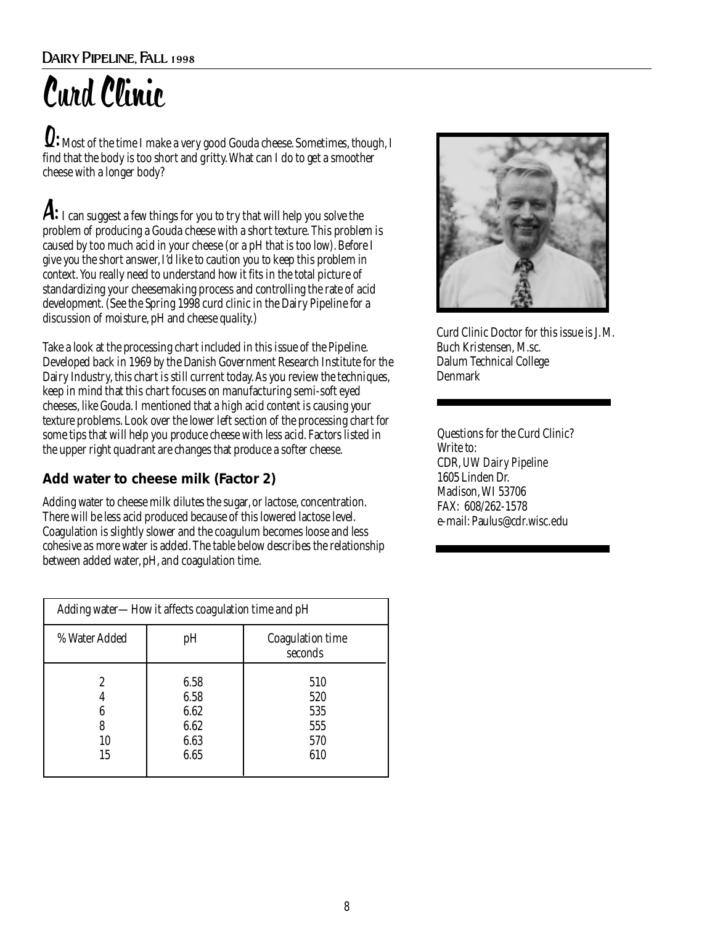# Curd Clinic

Q: Most of the time I make a very good Gouda cheese. Sometimes, though, I find that the body is too short and gritty. What can I do to get a smoother cheese with a longer body?

 ${\boldsymbol A} \textbf{:}_\text{I}$  can suggest a few things for you to try that will help you solve the problem of producing a Gouda cheese with a short texture. This problem is caused by too much acid in your cheese (or a pH that is too low). Before I give you the short answer, I'd like to caution you to keep this problem in context. You really need to understand how it fits in the total picture of standardizing your cheesemaking process and controlling the rate of acid development. (See the Spring 1998 curd clinic in the Dairy Pipeline for a discussion of moisture, pH and cheese quality.)

Take a look at the processing chart included in this issue of the Pipeline. Developed back in 1969 by the Danish Government Research Institute for the Dairy Industry, this chart is still current today. As you review the techniques, keep in mind that this chart focuses on manufacturing semi-soft eyed cheeses, like Gouda. I mentioned that a high acid content is causing your texture problems. Look over the lower left section of the processing chart for some tips that will help you produce cheese with less acid. Factors listed in the upper right quadrant are changes that produce a softer cheese.

### **Add water to cheese milk (Factor 2)**

Adding water to cheese milk dilutes the sugar, or lactose, concentration. There will be less acid produced because of this lowered lactose level. Coagulation is slightly slower and the coagulum becomes loose and less cohesive as more water is added. The table below describes the relationship between added water, pH, and coagulation time.

| Adding water-How it affects coagulation time and pH |                                              |                                        |
|-----------------------------------------------------|----------------------------------------------|----------------------------------------|
| % Water Added                                       | pH                                           | Coagulation time<br>seconds            |
| 2<br>10<br>15                                       | 6.58<br>6.58<br>6.62<br>6.62<br>6.63<br>6.65 | 510<br>520<br>535<br>555<br>570<br>610 |



Curd Clinic Doctor for this issue is J. M. Buch Kristensen, M.sc. Dalum Technical College Denmark

Questions for the Curd Clinic? Write to: CDR, *UW Dairy Pipeline* 1605 Linden Dr. Madison, WI 53706 FAX: 608/262-1578 e-mail: Paulus@cdr.wisc.edu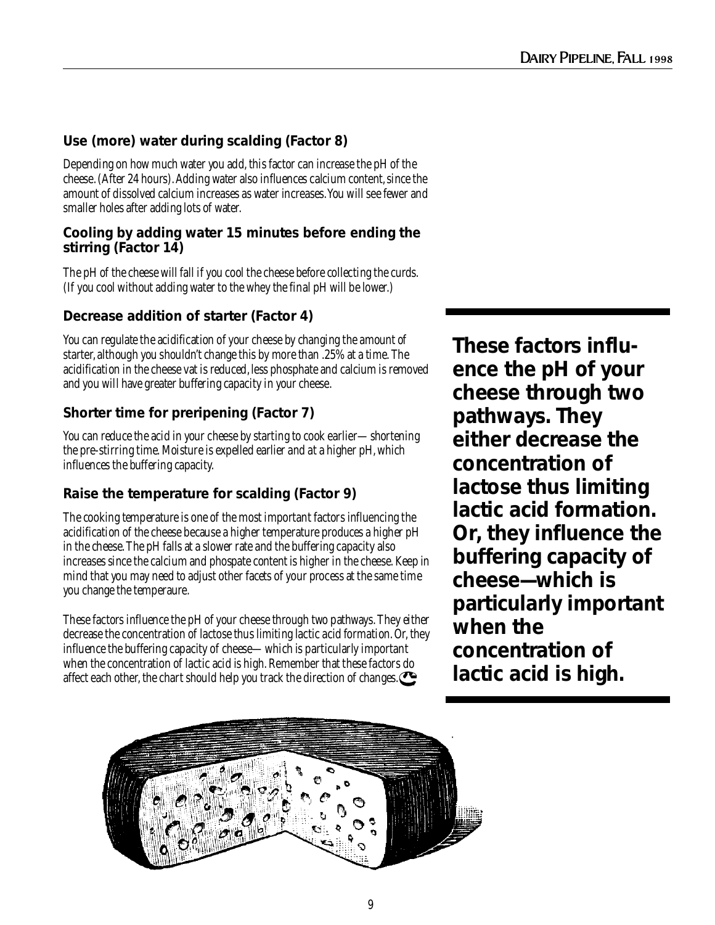### **Use (more) water during scalding (Factor 8)**

Depending on how much water you add, this factor can increase the pH of the cheese. (After 24 hours). Adding water also influences calcium content, since the amount of dissolved calcium increases as water increases. You will see fewer and smaller holes after adding lots of water.

### **Cooling by adding water 15 minutes before ending the stirring (Factor 14)**

The pH of the cheese will fall if you cool the cheese before collecting the curds. (If you cool without adding water to the whey the final pH will be lower.)

### **Decrease addition of starter (Factor 4)**

You can regulate the acidification of your cheese by changing the amount of starter, although you shouldn't change this by more than .25% at a time. The acidification in the cheese vat is reduced, less phosphate and calcium is removed and you will have greater buffering capacity in your cheese.

### **Shorter time for preripening (Factor 7)**

You can reduce the acid in your cheese by starting to cook earlier—shortening the pre-stirring time. Moisture is expelled earlier and at a higher pH, which influences the buffering capacity.

### **Raise the temperature for scalding (Factor 9)**

The cooking temperature is one of the most important factors influencing the acidification of the cheese because a higher temperature produces a higher pH in the cheese. The pH falls at a slower rate and the buffering capacity also increases since the calcium and phospate content is higher in the cheese. Keep in mind that you may need to adjust other facets of your process at the same time you change the temperaure.

These factors influence the pH of your cheese through two pathways. They either decrease the concentration of lactose thus limiting lactic acid formation. Or, they influence the buffering capacity of cheese—which is particularly important when the concentration of lactic acid is high. Remember that these factors do affect each other, the chart should help you track the direction of changes.

**These factors influence the pH of your cheese through two pathways. They either decrease the concentration of lactose thus limiting lactic acid formation. Or, they influence the buffering capacity of cheese—which is particularly important when the concentration of lactic acid is high.**